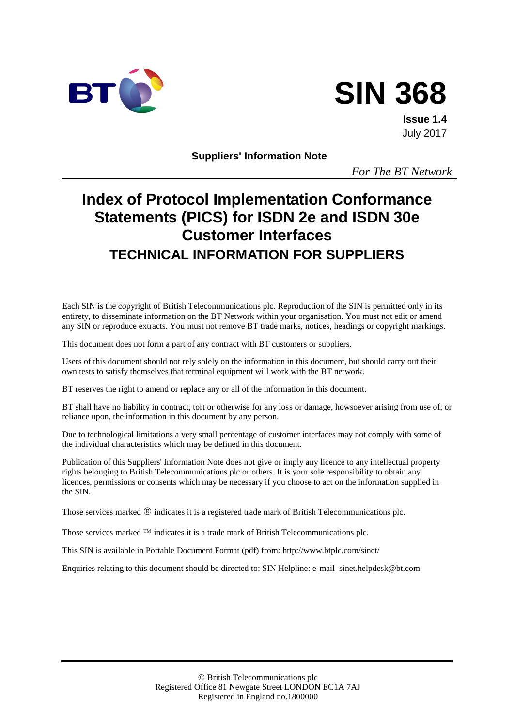



**Issue 1.4** July 2017

**Suppliers' Information Note**

*For The BT Network*

# **Index of Protocol Implementation Conformance Statements (PICS) for ISDN 2e and ISDN 30e Customer Interfaces TECHNICAL INFORMATION FOR SUPPLIERS**

Each SIN is the copyright of British Telecommunications plc. Reproduction of the SIN is permitted only in its entirety, to disseminate information on the BT Network within your organisation. You must not edit or amend any SIN or reproduce extracts. You must not remove BT trade marks, notices, headings or copyright markings.

This document does not form a part of any contract with BT customers or suppliers.

Users of this document should not rely solely on the information in this document, but should carry out their own tests to satisfy themselves that terminal equipment will work with the BT network.

BT reserves the right to amend or replace any or all of the information in this document.

BT shall have no liability in contract, tort or otherwise for any loss or damage, howsoever arising from use of, or reliance upon, the information in this document by any person.

Due to technological limitations a very small percentage of customer interfaces may not comply with some of the individual characteristics which may be defined in this document.

Publication of this Suppliers' Information Note does not give or imply any licence to any intellectual property rights belonging to British Telecommunications plc or others. It is your sole responsibility to obtain any licences, permissions or consents which may be necessary if you choose to act on the information supplied in the SIN.

Those services marked  $\circledR$  indicates it is a registered trade mark of British Telecommunications plc.

Those services marked  $TM$  indicates it is a trade mark of British Telecommunications plc.

This SIN is available in Portable Document Format (pdf) from: http://www.btplc.com/sinet/

Enquiries relating to this document should be directed to: SIN Helpline: e-mail sinet.helpdesk@bt.com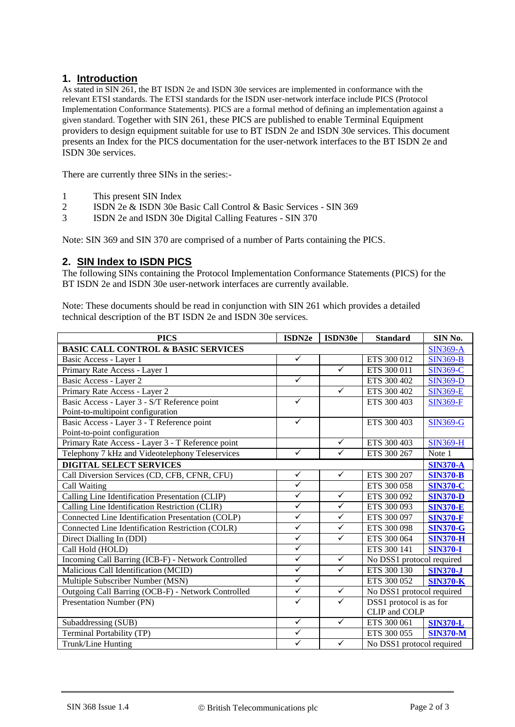## **1. Introduction**

As stated in SIN 261, the BT ISDN 2e and ISDN 30e services are implemented in conformance with the relevant ETSI standards. The ETSI standards for the ISDN user-network interface include PICS (Protocol Implementation Conformance Statements). PICS are a formal method of defining an implementation against a given standard. Together with SIN 261, these PICS are published to enable Terminal Equipment providers to design equipment suitable for use to BT ISDN 2e and ISDN 30e services. This document presents an Index for the PICS documentation for the user-network interfaces to the BT ISDN 2e and ISDN 30e services.

There are currently three SINs in the series:-

- 1 This present SIN Index
- 2 ISDN 2e & ISDN 30e Basic Call Control & Basic Services SIN 369
- 3 ISDN 2e and ISDN 30e Digital Calling Features SIN 370

Note: SIN 369 and SIN 370 are comprised of a number of Parts containing the PICS.

#### **2. SIN Index to ISDN PICS**

The following SINs containing the Protocol Implementation Conformance Statements (PICS) for the BT ISDN 2e and ISDN 30e user-network interfaces are currently available.

Note: These documents should be read in conjunction with SIN 261 which provides a detailed technical description of the BT ISDN 2e and ISDN 30e services.

| <b>PICS</b>                                        | ISDN2e                  | ISDN30e      | <b>Standard</b>           | SIN No.         |
|----------------------------------------------------|-------------------------|--------------|---------------------------|-----------------|
| <b>BASIC CALL CONTROL &amp; BASIC SERVICES</b>     |                         |              |                           |                 |
| Basic Access - Layer 1                             | $\checkmark$            |              | ETS 300 012               | <b>SIN369-B</b> |
| Primary Rate Access - Layer 1                      |                         | $\checkmark$ | ETS 300 011               | <b>SIN369-C</b> |
| Basic Access - Layer 2                             | $\checkmark$            |              | ETS 300 402               | <b>SIN369-D</b> |
| Primary Rate Access - Layer 2                      |                         | $\checkmark$ | ETS 300 402               | <b>SIN369-E</b> |
| Basic Access - Layer 3 - S/T Reference point       | $\checkmark$            |              | ETS 300 403               | <b>SIN369-F</b> |
| Point-to-multipoint configuration                  |                         |              |                           |                 |
| Basic Access - Layer 3 - T Reference point         | ✓                       |              | ETS 300 403               | <b>SIN369-G</b> |
| Point-to-point configuration                       |                         |              |                           |                 |
| Primary Rate Access - Layer 3 - T Reference point  |                         | $\checkmark$ | ETS 300 403               | <b>SIN369-H</b> |
| Telephony 7 kHz and Videotelephony Teleservices    | $\checkmark$            | $\checkmark$ | ETS 300 267               | Note 1          |
| <b>DIGITAL SELECT SERVICES</b>                     |                         |              |                           | <b>SIN370-A</b> |
| Call Diversion Services (CD, CFB, CFNR, CFU)       | $\checkmark$            | $\checkmark$ | ETS 300 207               | <b>SIN370-B</b> |
| Call Waiting                                       | $\checkmark$            |              | ETS 300 058               | <b>SIN370-C</b> |
| Calling Line Identification Presentation (CLIP)    | $\checkmark$            | $\checkmark$ | ETS 300 092               | <b>SIN370-D</b> |
| Calling Line Identification Restriction (CLIR)     | $\checkmark$            | $\checkmark$ | ETS 300 093               | <b>SIN370-E</b> |
| Connected Line Identification Presentation (COLP)  | $\checkmark$            | $\checkmark$ | ETS 300 097               | <b>SIN370-F</b> |
| Connected Line Identification Restriction (COLR)   | $\checkmark$            | $\checkmark$ | ETS 300 098               | <b>SIN370-G</b> |
| Direct Dialling In (DDI)                           | $\checkmark$            | $\checkmark$ | ETS 300 064               | <b>SIN370-H</b> |
| Call Hold (HOLD)                                   | $\checkmark$            |              | ETS 300 141               | <b>SIN370-I</b> |
| Incoming Call Barring (ICB-F) - Network Controlled | $\checkmark$            | $\checkmark$ | No DSS1 protocol required |                 |
| Malicious Call Identification (MCID)               | $\checkmark$            | $\checkmark$ | ETS 300 130               | <b>SIN370-J</b> |
| Multiple Subscriber Number (MSN)                   | $\checkmark$            |              | ETS 300 052               | <b>SIN370-K</b> |
| Outgoing Call Barring (OCB-F) - Network Controlled | $\checkmark$            | $\sqrt{}$    | No DSS1 protocol required |                 |
| Presentation Number (PN)                           | $\checkmark$            | $\checkmark$ | DSS1 protocol is as for   |                 |
|                                                    |                         |              | CLIP and COLP             |                 |
| Subaddressing (SUB)                                | $\checkmark$            | $\checkmark$ | ETS 300 061               | <b>SIN370-L</b> |
| Terminal Portability (TP)                          | $\checkmark$            |              | ETS 300 055               | <b>SIN370-M</b> |
| Trunk/Line Hunting                                 | $\overline{\checkmark}$ | $\checkmark$ | No DSS1 protocol required |                 |